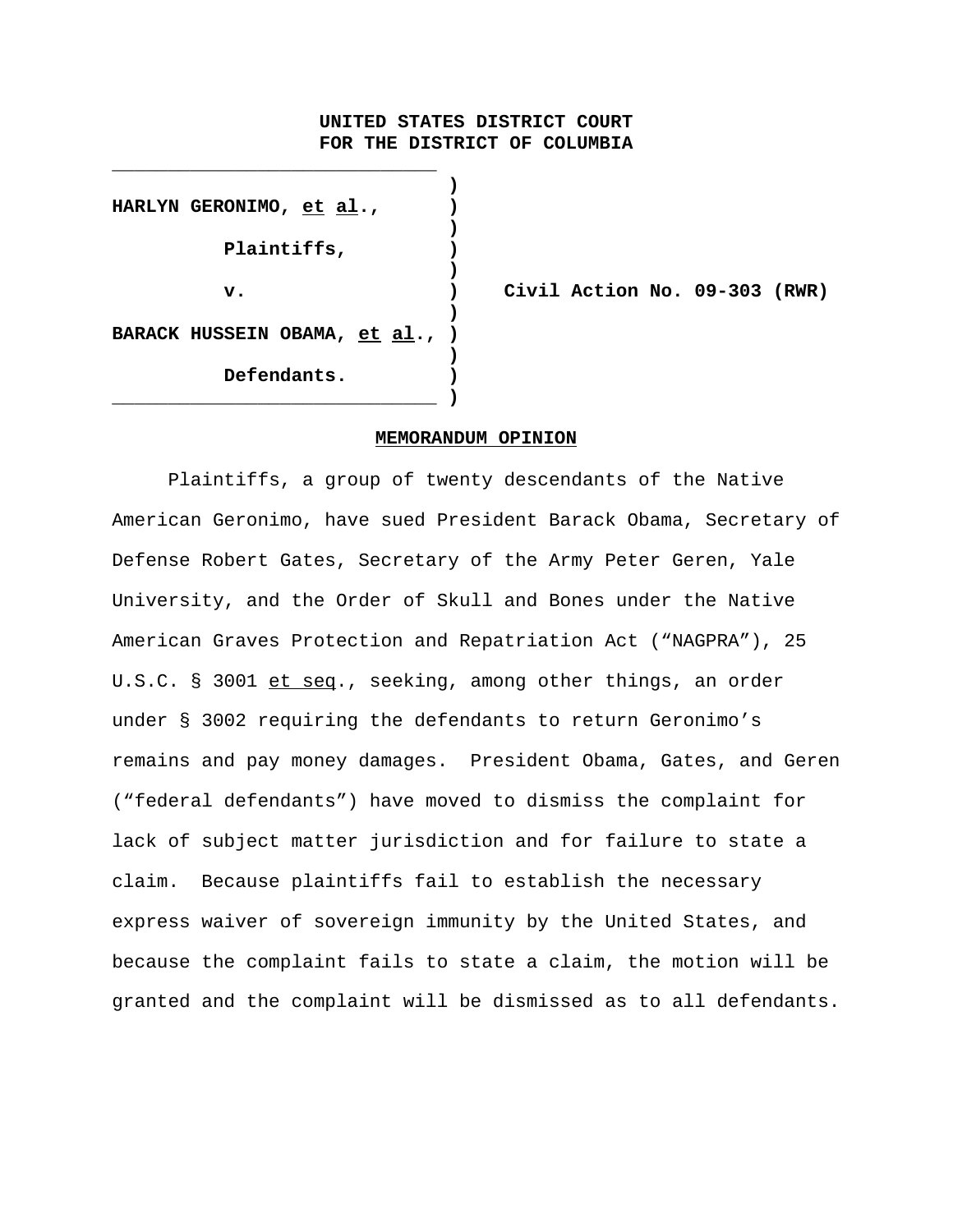# **UNITED STATES DISTRICT COURT FOR THE DISTRICT OF COLUMBIA**

**) HARLYN GERONIMO, et al., ) ) Plaintiffs, ) ) ) BARACK HUSSEIN OBAMA, et al., ) ) Defendants. ) \_\_\_\_\_\_\_\_\_\_\_\_\_\_\_\_\_\_\_\_\_\_\_\_\_\_\_\_\_ )**

**\_\_\_\_\_\_\_\_\_\_\_\_\_\_\_\_\_\_\_\_\_\_\_\_\_\_\_\_\_**

**v. ) Civil Action No. 09-303 (RWR)**

## **MEMORANDUM OPINION**

Plaintiffs, a group of twenty descendants of the Native American Geronimo, have sued President Barack Obama, Secretary of Defense Robert Gates, Secretary of the Army Peter Geren, Yale University, and the Order of Skull and Bones under the Native American Graves Protection and Repatriation Act ("NAGPRA"), 25 U.S.C. § 3001 et seq., seeking, among other things, an order under § 3002 requiring the defendants to return Geronimo's remains and pay money damages. President Obama, Gates, and Geren ("federal defendants") have moved to dismiss the complaint for lack of subject matter jurisdiction and for failure to state a claim. Because plaintiffs fail to establish the necessary express waiver of sovereign immunity by the United States, and because the complaint fails to state a claim, the motion will be granted and the complaint will be dismissed as to all defendants.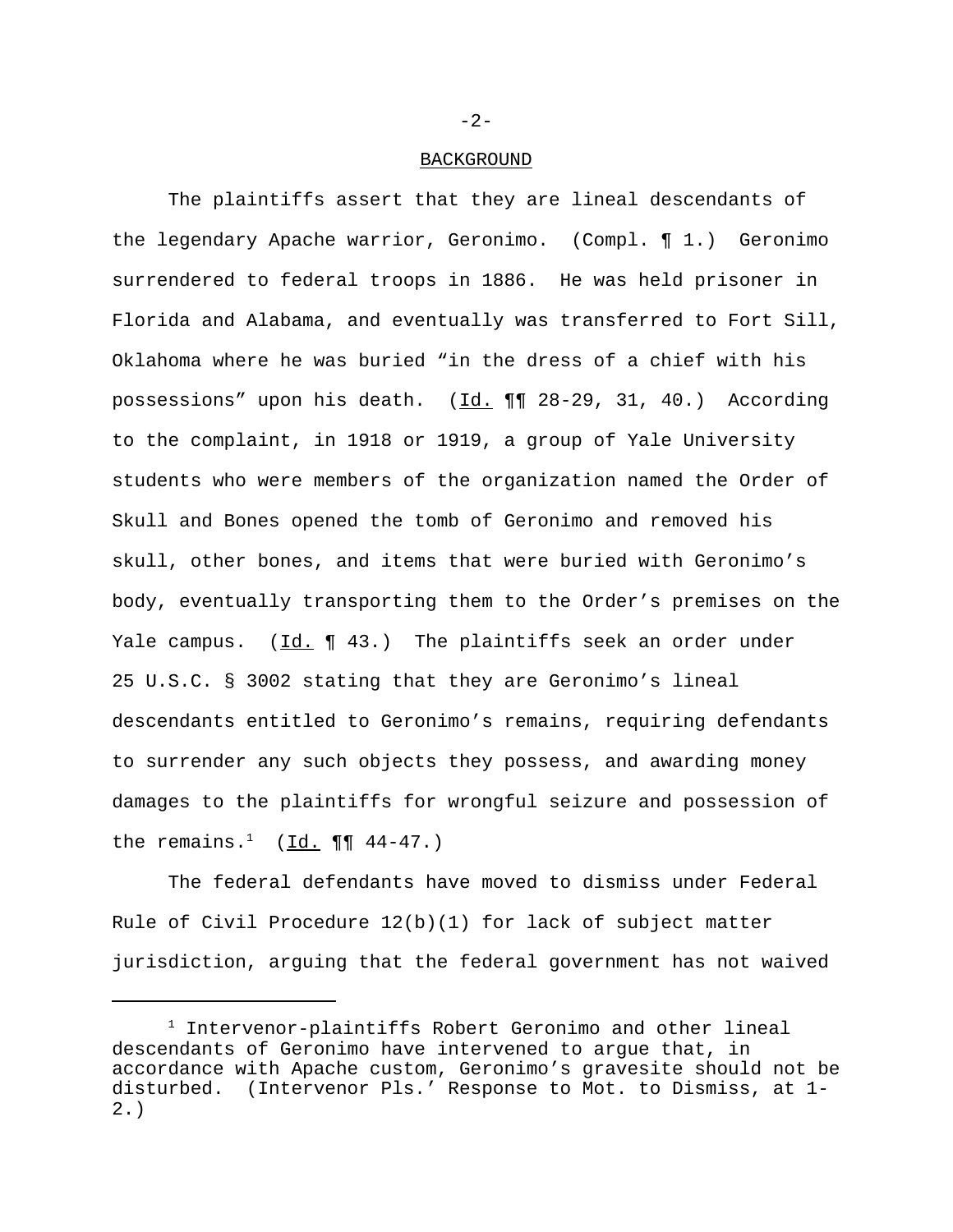## BACKGROUND

The plaintiffs assert that they are lineal descendants of the legendary Apache warrior, Geronimo. (Compl. ¶ 1.) Geronimo surrendered to federal troops in 1886. He was held prisoner in Florida and Alabama, and eventually was transferred to Fort Sill, Oklahoma where he was buried "in the dress of a chief with his possessions" upon his death. (Id. ¶¶ 28-29, 31, 40.) According to the complaint, in 1918 or 1919, a group of Yale University students who were members of the organization named the Order of Skull and Bones opened the tomb of Geronimo and removed his skull, other bones, and items that were buried with Geronimo's body, eventually transporting them to the Order's premises on the Yale campus.  $(\underline{Id.} \P 43.)$  The plaintiffs seek an order under 25 U.S.C. § 3002 stating that they are Geronimo's lineal descendants entitled to Geronimo's remains, requiring defendants to surrender any such objects they possess, and awarding money damages to the plaintiffs for wrongful seizure and possession of the remains.<sup>1</sup> (Id.  $\P\P$  44-47.)

The federal defendants have moved to dismiss under Federal Rule of Civil Procedure 12(b)(1) for lack of subject matter jurisdiction, arguing that the federal government has not waived

-2-

<sup>1</sup> Intervenor-plaintiffs Robert Geronimo and other lineal descendants of Geronimo have intervened to argue that, in accordance with Apache custom, Geronimo's gravesite should not be disturbed. (Intervenor Pls.' Response to Mot. to Dismiss, at 1- 2.)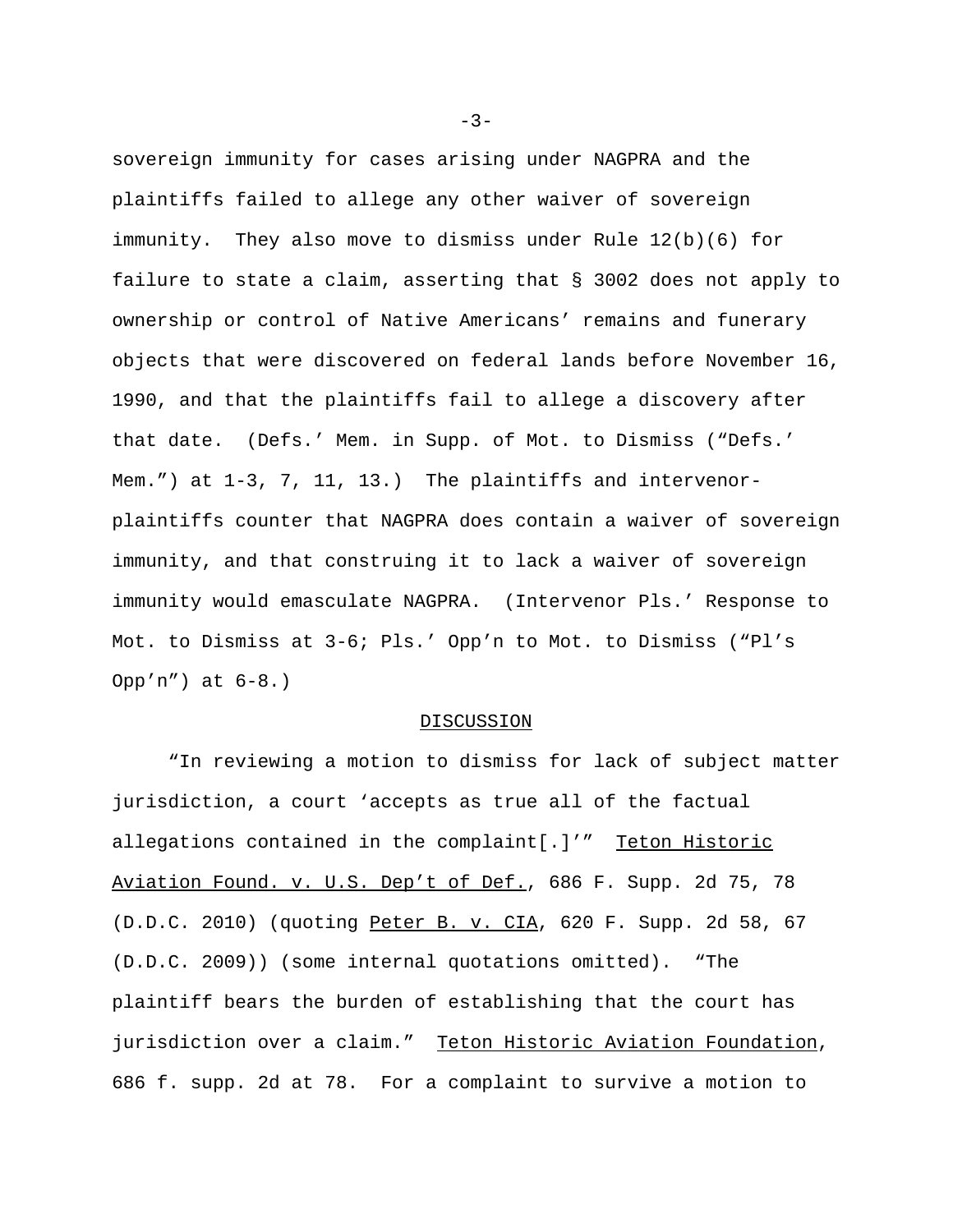sovereign immunity for cases arising under NAGPRA and the plaintiffs failed to allege any other waiver of sovereign immunity. They also move to dismiss under Rule 12(b)(6) for failure to state a claim, asserting that § 3002 does not apply to ownership or control of Native Americans' remains and funerary objects that were discovered on federal lands before November 16, 1990, and that the plaintiffs fail to allege a discovery after that date. (Defs.' Mem. in Supp. of Mot. to Dismiss ("Defs.' Mem.") at 1-3, 7, 11, 13.) The plaintiffs and intervenorplaintiffs counter that NAGPRA does contain a waiver of sovereign immunity, and that construing it to lack a waiver of sovereign immunity would emasculate NAGPRA. (Intervenor Pls.' Response to Mot. to Dismiss at 3-6; Pls.' Opp'n to Mot. to Dismiss ("Pl's Opp'n") at 6-8.)

#### DISCUSSION

"In reviewing a motion to dismiss for lack of subject matter jurisdiction, a court 'accepts as true all of the factual allegations contained in the complaint[.]'" Teton Historic Aviation Found. v. U.S. Dep't of Def., 686 F. Supp. 2d 75, 78 (D.D.C. 2010) (quoting Peter B. v. CIA, 620 F. Supp. 2d 58, 67 (D.D.C. 2009)) (some internal quotations omitted). "The plaintiff bears the burden of establishing that the court has jurisdiction over a claim." Teton Historic Aviation Foundation, 686 f. supp. 2d at 78. For a complaint to survive a motion to

-3-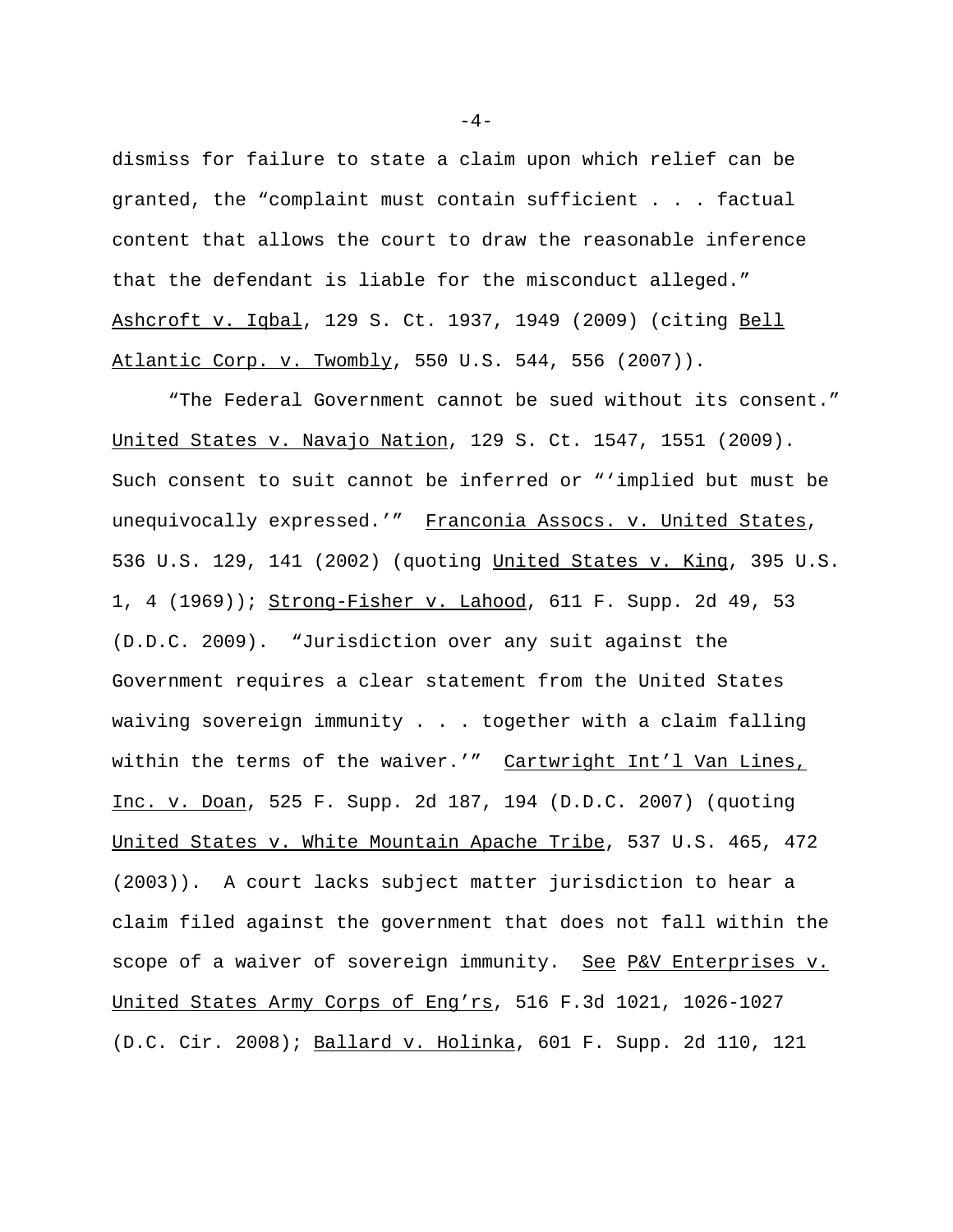dismiss for failure to state a claim upon which relief can be granted, the "complaint must contain sufficient . . . factual content that allows the court to draw the reasonable inference that the defendant is liable for the misconduct alleged." Ashcroft v. Iqbal, 129 S. Ct. 1937, 1949 (2009) (citing Bell Atlantic Corp. v. Twombly, 550 U.S. 544, 556 (2007)).

"The Federal Government cannot be sued without its consent." United States v. Navajo Nation, 129 S. Ct. 1547, 1551 (2009). Such consent to suit cannot be inferred or "'implied but must be unequivocally expressed.'" Franconia Assocs. v. United States, 536 U.S. 129, 141 (2002) (quoting United States v. King, 395 U.S. 1, 4 (1969)); Strong-Fisher v. Lahood, 611 F. Supp. 2d 49, 53 (D.D.C. 2009). "Jurisdiction over any suit against the Government requires a clear statement from the United States waiving sovereign immunity . . . together with a claim falling within the terms of the waiver.'" Cartwright Int'l Van Lines, Inc. v. Doan, 525 F. Supp. 2d 187, 194 (D.D.C. 2007) (quoting United States v. White Mountain Apache Tribe, 537 U.S. 465, 472 (2003)). A court lacks subject matter jurisdiction to hear a claim filed against the government that does not fall within the scope of a waiver of sovereign immunity. See P&V Enterprises v. United States Army Corps of Eng'rs, 516 F.3d 1021, 1026-1027 (D.C. Cir. 2008); Ballard v. Holinka, 601 F. Supp. 2d 110, 121

 $-4-$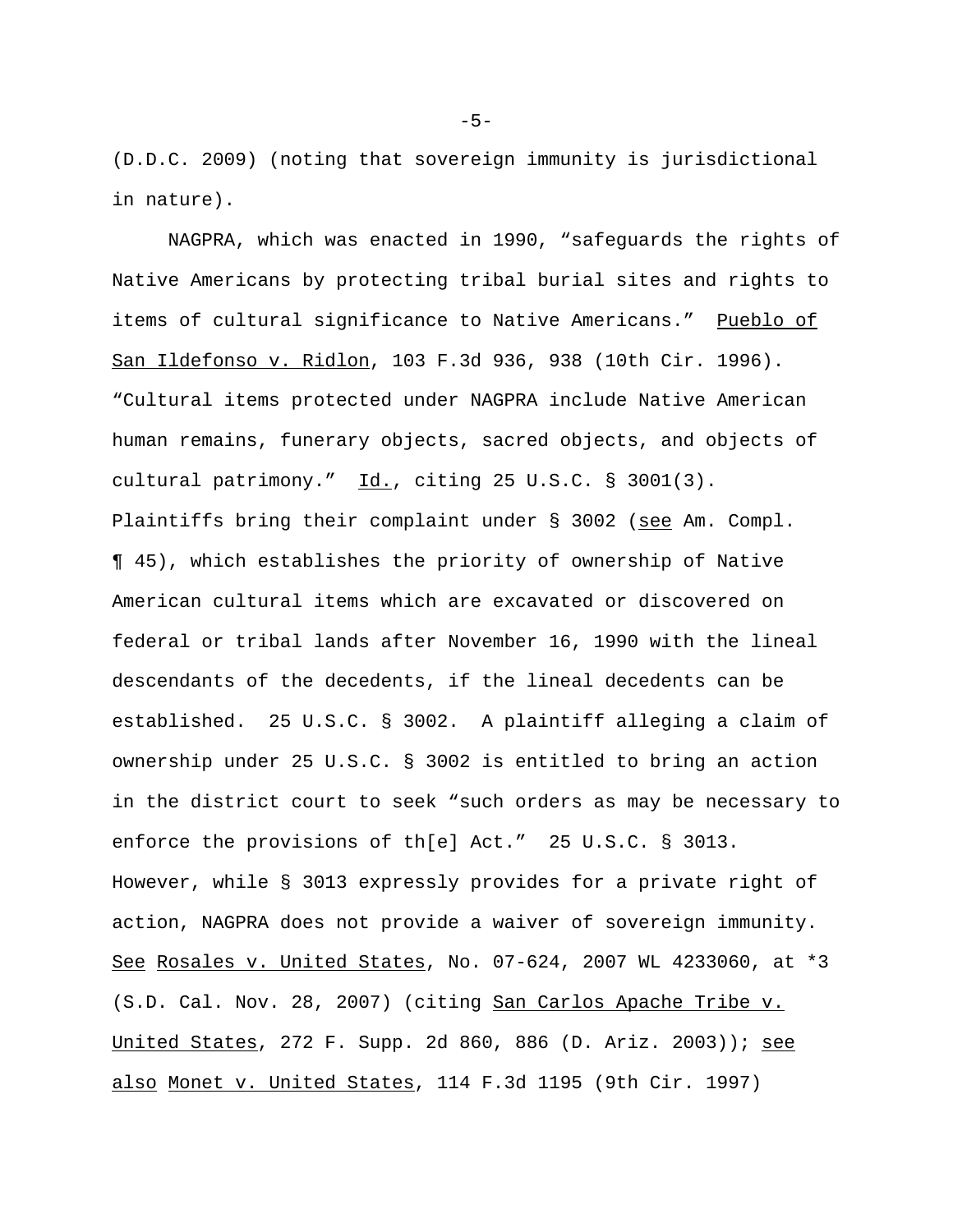(D.D.C. 2009) (noting that sovereign immunity is jurisdictional in nature).

NAGPRA, which was enacted in 1990, "safeguards the rights of Native Americans by protecting tribal burial sites and rights to items of cultural significance to Native Americans." Pueblo of San Ildefonso v. Ridlon, 103 F.3d 936, 938 (10th Cir. 1996). "Cultural items protected under NAGPRA include Native American human remains, funerary objects, sacred objects, and objects of cultural patrimony."  $\underline{Id.}$ , citing 25 U.S.C. § 3001(3). Plaintiffs bring their complaint under § 3002 (see Am. Compl. ¶ 45), which establishes the priority of ownership of Native American cultural items which are excavated or discovered on federal or tribal lands after November 16, 1990 with the lineal descendants of the decedents, if the lineal decedents can be established. 25 U.S.C. § 3002. A plaintiff alleging a claim of ownership under 25 U.S.C. § 3002 is entitled to bring an action in the district court to seek "such orders as may be necessary to enforce the provisions of th[e] Act." 25 U.S.C. § 3013. However, while § 3013 expressly provides for a private right of action, NAGPRA does not provide a waiver of sovereign immunity. See Rosales v. United States, No. 07-624, 2007 WL 4233060, at \*3 (S.D. Cal. Nov. 28, 2007) (citing San Carlos Apache Tribe v. United States, 272 F. Supp. 2d 860, 886 (D. Ariz. 2003)); see also Monet v. United States, 114 F.3d 1195 (9th Cir. 1997)

-5-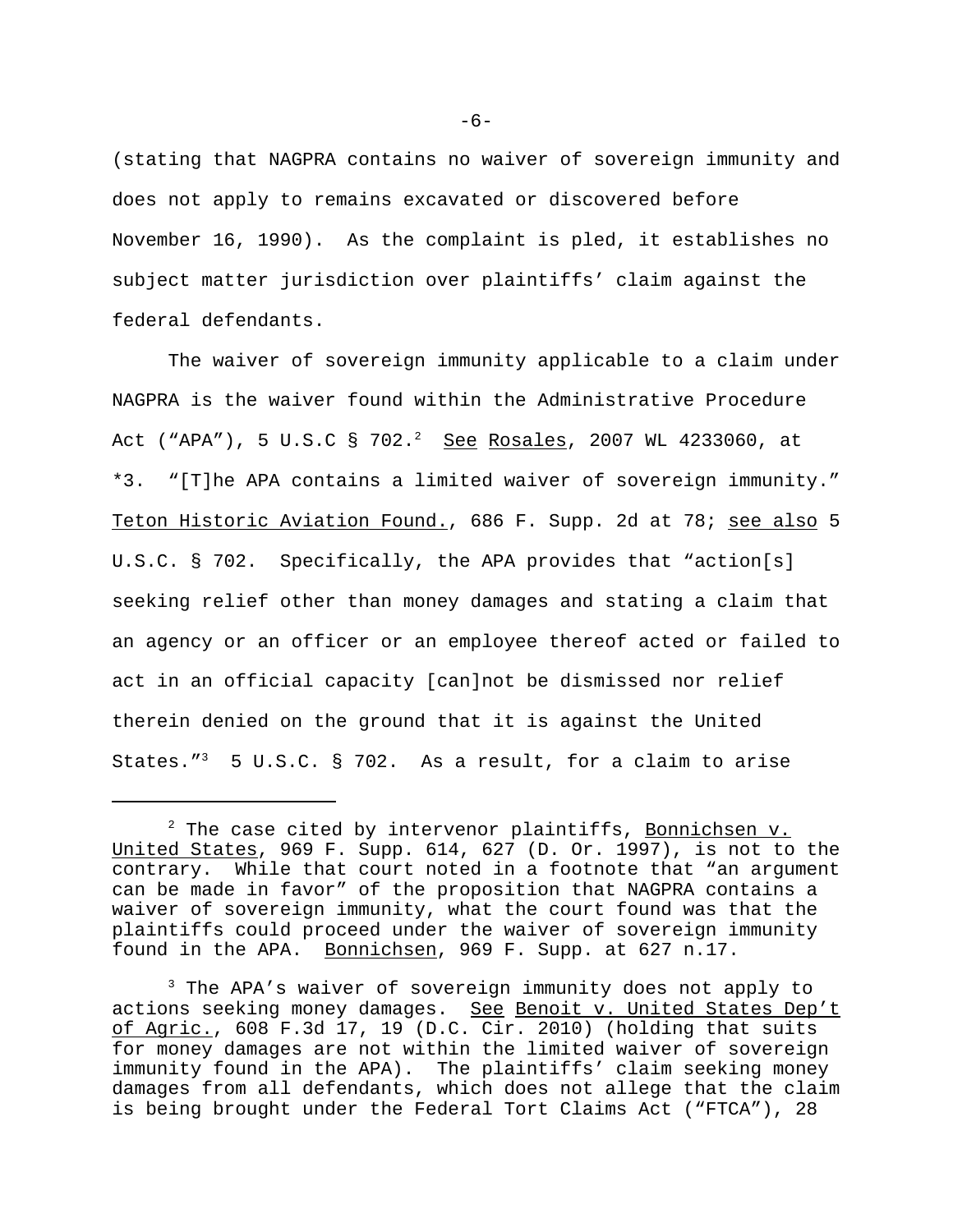(stating that NAGPRA contains no waiver of sovereign immunity and does not apply to remains excavated or discovered before November 16, 1990). As the complaint is pled, it establishes no subject matter jurisdiction over plaintiffs' claim against the federal defendants.

The waiver of sovereign immunity applicable to a claim under NAGPRA is the waiver found within the Administrative Procedure Act ("APA"), 5 U.S.C § 702.<sup>2</sup> <u>See</u> <u>Rosales</u>, 2007 WL 4233060, at \*3. "[T]he APA contains a limited waiver of sovereign immunity." Teton Historic Aviation Found., 686 F. Supp. 2d at 78; see also 5 U.S.C. § 702. Specifically, the APA provides that "action[s] seeking relief other than money damages and stating a claim that an agency or an officer or an employee thereof acted or failed to act in an official capacity [can]not be dismissed nor relief therein denied on the ground that it is against the United States. $13$  5 U.S.C. § 702. As a result, for a claim to arise

-6-

<sup>&</sup>lt;sup>2</sup> The case cited by intervenor plaintiffs, <u>Bonnichsen v.</u> United States, 969 F. Supp. 614, 627 (D. Or. 1997), is not to the contrary. While that court noted in a footnote that "an argument can be made in favor" of the proposition that NAGPRA contains a waiver of sovereign immunity, what the court found was that the plaintiffs could proceed under the waiver of sovereign immunity found in the APA. Bonnichsen, 969 F. Supp. at 627 n.17.

<sup>&</sup>lt;sup>3</sup> The APA's waiver of sovereign immunity does not apply to actions seeking money damages. See Benoit v. United States Dep't of Agric., 608 F.3d 17, 19 (D.C. Cir. 2010) (holding that suits for money damages are not within the limited waiver of sovereign immunity found in the APA). The plaintiffs' claim seeking money damages from all defendants, which does not allege that the claim is being brought under the Federal Tort Claims Act ("FTCA"), 28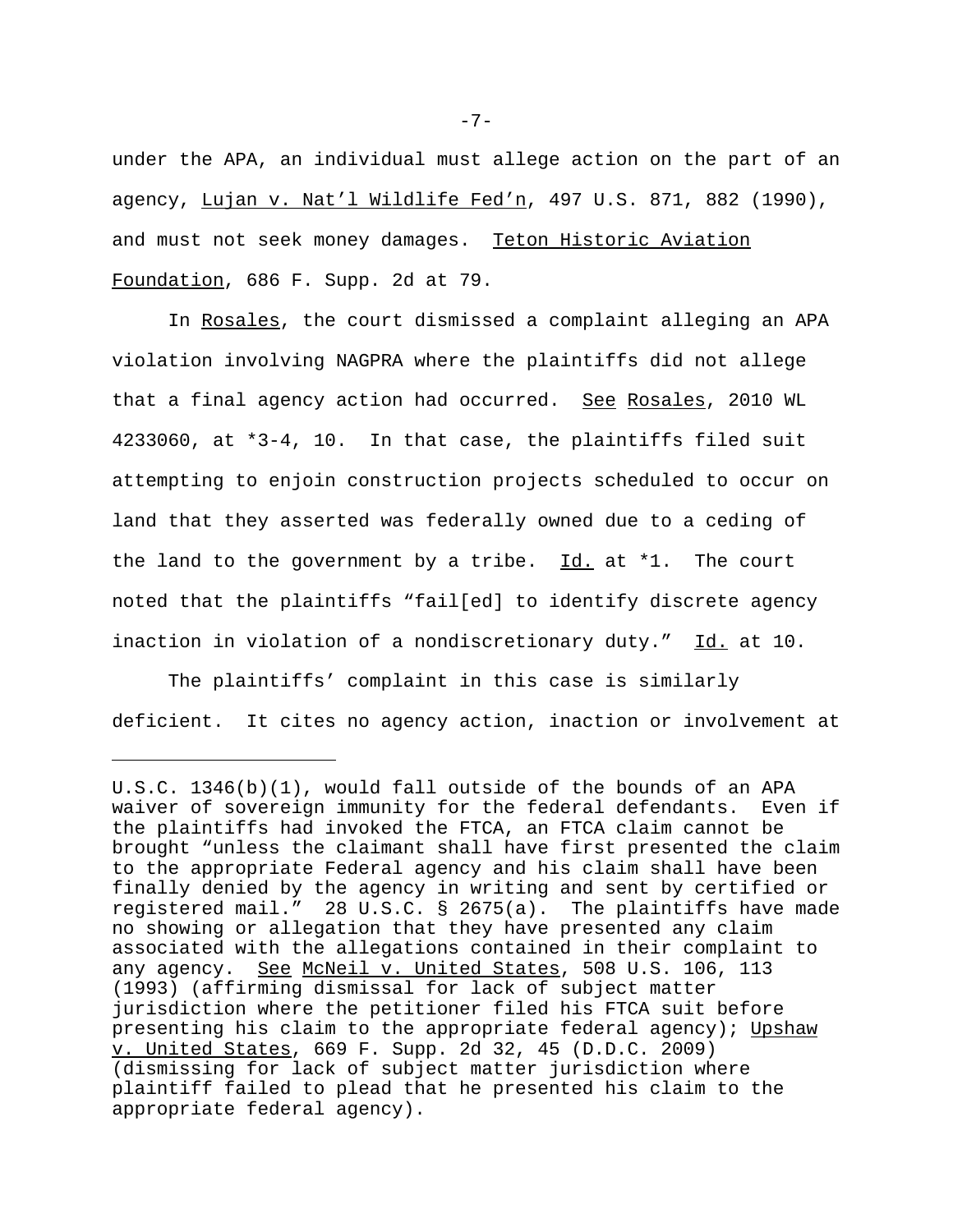under the APA, an individual must allege action on the part of an agency, Lujan v. Nat'l Wildlife Fed'n, 497 U.S. 871, 882 (1990), and must not seek money damages. Teton Historic Aviation Foundation, 686 F. Supp. 2d at 79.

In Rosales, the court dismissed a complaint alleging an APA violation involving NAGPRA where the plaintiffs did not allege that a final agency action had occurred. See Rosales, 2010 WL 4233060, at \*3-4, 10. In that case, the plaintiffs filed suit attempting to enjoin construction projects scheduled to occur on land that they asserted was federally owned due to a ceding of the land to the government by a tribe.  $Id.$  at \*1. The court noted that the plaintiffs "fail[ed] to identify discrete agency inaction in violation of a nondiscretionary duty." Id. at 10.

The plaintiffs' complaint in this case is similarly deficient. It cites no agency action, inaction or involvement at

-7-

U.S.C. 1346(b)(1), would fall outside of the bounds of an APA waiver of sovereign immunity for the federal defendants. Even if the plaintiffs had invoked the FTCA, an FTCA claim cannot be brought "unless the claimant shall have first presented the claim to the appropriate Federal agency and his claim shall have been finally denied by the agency in writing and sent by certified or registered mail." 28 U.S.C. § 2675(a). The plaintiffs have made no showing or allegation that they have presented any claim associated with the allegations contained in their complaint to any agency. See McNeil v. United States, 508 U.S. 106, 113 (1993) (affirming dismissal for lack of subject matter jurisdiction where the petitioner filed his FTCA suit before presenting his claim to the appropriate federal agency); Upshaw v. United States, 669 F. Supp. 2d 32, 45 (D.D.C. 2009) (dismissing for lack of subject matter jurisdiction where plaintiff failed to plead that he presented his claim to the appropriate federal agency).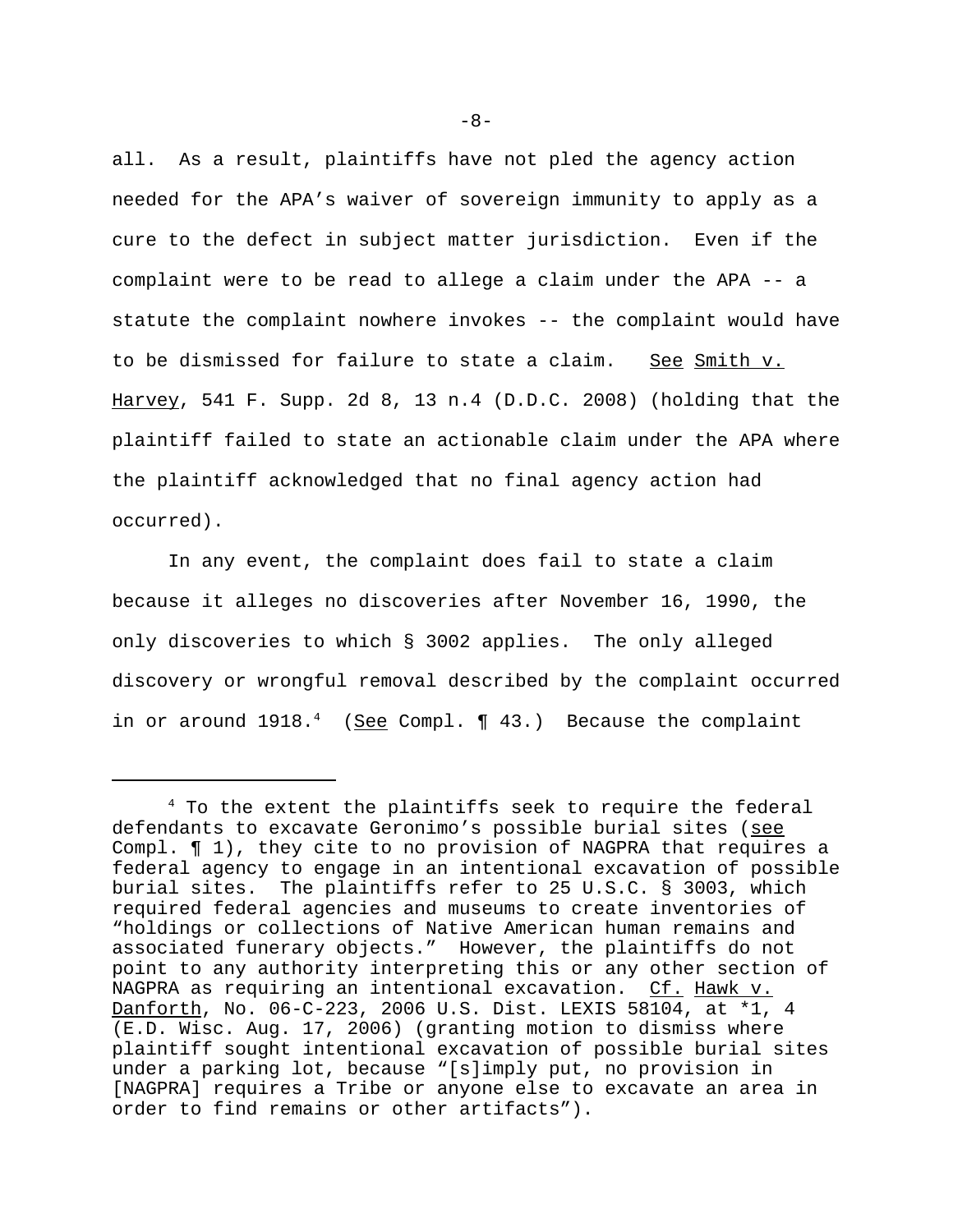all. As a result, plaintiffs have not pled the agency action needed for the APA's waiver of sovereign immunity to apply as a cure to the defect in subject matter jurisdiction. Even if the complaint were to be read to allege a claim under the APA -- a statute the complaint nowhere invokes -- the complaint would have to be dismissed for failure to state a claim. See Smith v. Harvey, 541 F. Supp. 2d 8, 13 n.4 (D.D.C. 2008) (holding that the plaintiff failed to state an actionable claim under the APA where the plaintiff acknowledged that no final agency action had occurred).

In any event, the complaint does fail to state a claim because it alleges no discoveries after November 16, 1990, the only discoveries to which § 3002 applies. The only alleged discovery or wrongful removal described by the complaint occurred in or around 1918.<sup>4</sup> (See Compl. 1 43.) Because the complaint

<sup>4</sup> To the extent the plaintiffs seek to require the federal defendants to excavate Geronimo's possible burial sites (see Compl. ¶ 1), they cite to no provision of NAGPRA that requires a federal agency to engage in an intentional excavation of possible burial sites. The plaintiffs refer to 25 U.S.C. § 3003, which required federal agencies and museums to create inventories of "holdings or collections of Native American human remains and associated funerary objects." However, the plaintiffs do not point to any authority interpreting this or any other section of NAGPRA as requiring an intentional excavation. Cf. Hawk v. Danforth, No. 06-C-223, 2006 U.S. Dist. LEXIS 58104, at \*1, 4 (E.D. Wisc. Aug. 17, 2006) (granting motion to dismiss where plaintiff sought intentional excavation of possible burial sites under a parking lot, because "[s]imply put, no provision in [NAGPRA] requires a Tribe or anyone else to excavate an area in order to find remains or other artifacts").